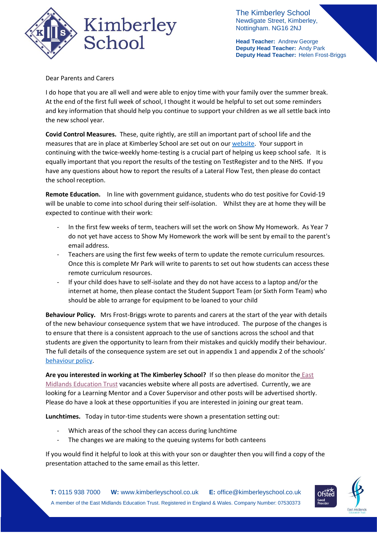

The Kimberley School Newdigate Street, Kimberley, Nottingham. NG16 2NJ

**Head Teacher:** Andrew George **Deputy Head Teacher:** Andy Park **Deputy Head Teacher:** Helen Frost-Briggs

Dear Parents and Carers

I do hope that you are all well and were able to enjoy time with your family over the summer break. At the end of the first full week of school, I thought it would be helpful to set out some reminders and key information that should help you continue to support your children as we all settle back into the new school year.

**Covid Control Measures.** These, quite rightly, are still an important part of school life and the measures that are in place at Kimberley School are set out on ou[r website.](https://www.kimberleyschool.co.uk/septemberopening) Your support in continuing with the twice-weekly home-testing is a crucial part of helping us keep school safe. It is equally important that you report the results of the testing on TestRegister and to the NHS. If you have any questions about how to report the results of a Lateral Flow Test, then please do contact the school reception.

**Remote Education.** In line with government guidance, students who do test positive for Covid-19 will be unable to come into school during their self-isolation. Whilst they are at home they will be expected to continue with their work:

- In the first few weeks of term, teachers will set the work on Show My Homework. As Year 7 do not yet have access to Show My Homework the work will be sent by email to the parent's email address.
- Teachers are using the first few weeks of term to update the remote curriculum resources. Once this is complete Mr Park will write to parents to set out how students can access these remote curriculum resources.
- If your child does have to self-isolate and they do not have access to a laptop and/or the internet at home, then please contact the Student Support Team (or Sixth Form Team) who should be able to arrange for equipment to be loaned to your child

**Behaviour Policy.** Mrs Frost-Briggs wrote to parents and carers at the start of the year with details of the new behaviour consequence system that we have introduced. The purpose of the changes is to ensure that there is a consistent approach to the use of sanctions across the school and that students are given the opportunity to learn from their mistakes and quickly modify their behaviour. The full details of the consequence system are set out in appendix 1 and appendix 2 of the schools' [behaviour policy.](https://676e78de-15d9-46b7-9fcd-a49f46e58722.filesusr.com/ugd/b2657a_44bb6521afe14c5b91f889a92242f33e.pdf)

**Are you interested in working at The Kimberley School?** If so then please do monitor the [East](https://www.emet.academy/vacancies)  [Midlands Education Trust](https://www.emet.academy/vacancies) vacancies website where all posts are advertised. Currently, we are looking for a Learning Mentor and a Cover Supervisor and other posts will be advertised shortly. Please do have a look at these opportunities if you are interested in joining our great team.

**Lunchtimes.** Today in tutor-time students were shown a presentation setting out:

- Which areas of the school they can access during lunchtime
- The changes we are making to the queuing systems for both canteens

If you would find it helpful to look at this with your son or daughter then you will find a copy of the presentation attached to the same email as this letter.